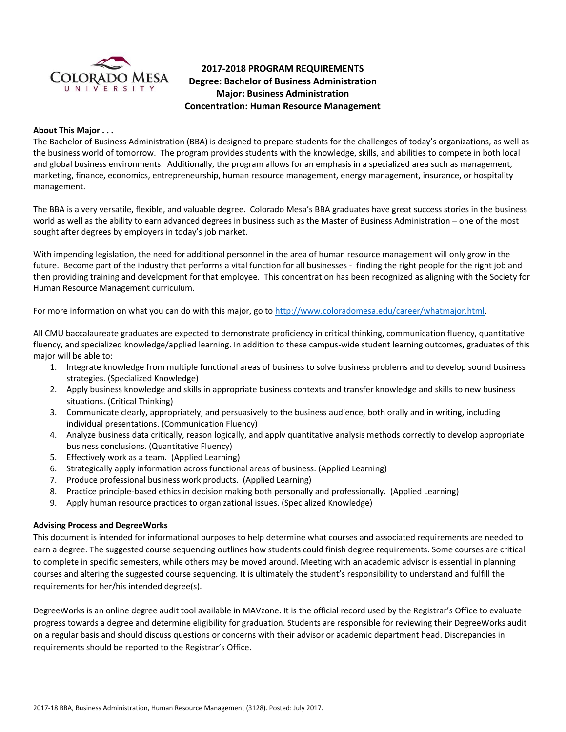

# **2017-2018 PROGRAM REQUIREMENTS Degree: Bachelor of Business Administration Major: Business Administration Concentration: Human Resource Management**

### **About This Major . . .**

The Bachelor of Business Administration (BBA) is designed to prepare students for the challenges of today's organizations, as well as the business world of tomorrow. The program provides students with the knowledge, skills, and abilities to compete in both local and global business environments. Additionally, the program allows for an emphasis in a specialized area such as management, marketing, finance, economics, entrepreneurship, human resource management, energy management, insurance, or hospitality management.

The BBA is a very versatile, flexible, and valuable degree. Colorado Mesa's BBA graduates have great success stories in the business world as well as the ability to earn advanced degrees in business such as the Master of Business Administration – one of the most sought after degrees by employers in today's job market.

With impending legislation, the need for additional personnel in the area of human resource management will only grow in the future. Become part of the industry that performs a vital function for all businesses - finding the right people for the right job and then providing training and development for that employee. This concentration has been recognized as aligning with the Society for Human Resource Management curriculum.

For more information on what you can do with this major, go t[o http://www.coloradomesa.edu/career/whatmajor.html.](http://www.coloradomesa.edu/career/whatmajor.html)

All CMU baccalaureate graduates are expected to demonstrate proficiency in critical thinking, communication fluency, quantitative fluency, and specialized knowledge/applied learning. In addition to these campus-wide student learning outcomes, graduates of this major will be able to:

- 1. Integrate knowledge from multiple functional areas of business to solve business problems and to develop sound business strategies. (Specialized Knowledge)
- 2. Apply business knowledge and skills in appropriate business contexts and transfer knowledge and skills to new business situations. (Critical Thinking)
- 3. Communicate clearly, appropriately, and persuasively to the business audience, both orally and in writing, including individual presentations. (Communication Fluency)
- 4. Analyze business data critically, reason logically, and apply quantitative analysis methods correctly to develop appropriate business conclusions. (Quantitative Fluency)
- 5. Effectively work as a team. (Applied Learning)
- 6. Strategically apply information across functional areas of business. (Applied Learning)
- 7. Produce professional business work products. (Applied Learning)
- 8. Practice principle-based ethics in decision making both personally and professionally. (Applied Learning)
- 9. Apply human resource practices to organizational issues. (Specialized Knowledge)

#### **Advising Process and DegreeWorks**

This document is intended for informational purposes to help determine what courses and associated requirements are needed to earn a degree. The suggested course sequencing outlines how students could finish degree requirements. Some courses are critical to complete in specific semesters, while others may be moved around. Meeting with an academic advisor is essential in planning courses and altering the suggested course sequencing. It is ultimately the student's responsibility to understand and fulfill the requirements for her/his intended degree(s).

DegreeWorks is an online degree audit tool available in MAVzone. It is the official record used by the Registrar's Office to evaluate progress towards a degree and determine eligibility for graduation. Students are responsible for reviewing their DegreeWorks audit on a regular basis and should discuss questions or concerns with their advisor or academic department head. Discrepancies in requirements should be reported to the Registrar's Office.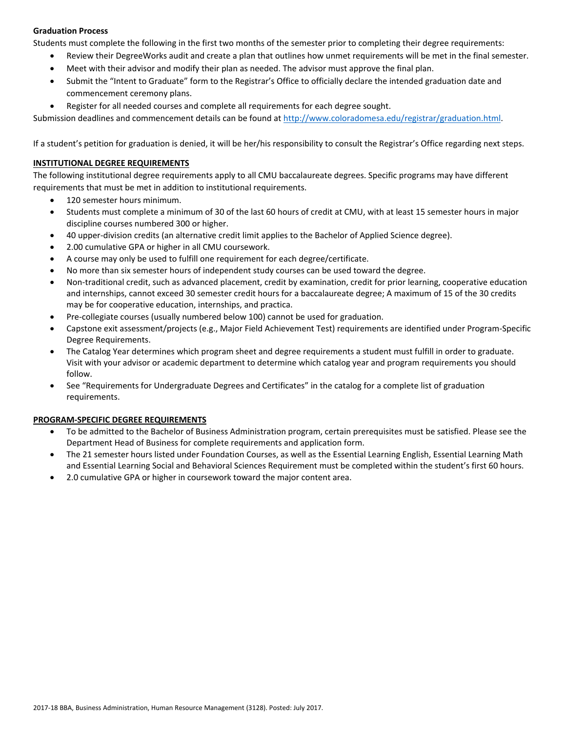# **Graduation Process**

Students must complete the following in the first two months of the semester prior to completing their degree requirements:

- Review their DegreeWorks audit and create a plan that outlines how unmet requirements will be met in the final semester.
- Meet with their advisor and modify their plan as needed. The advisor must approve the final plan.
- Submit the "Intent to Graduate" form to the Registrar's Office to officially declare the intended graduation date and commencement ceremony plans.
- Register for all needed courses and complete all requirements for each degree sought.

Submission deadlines and commencement details can be found at [http://www.coloradomesa.edu/registrar/graduation.html.](http://www.coloradomesa.edu/registrar/graduation.html)

If a student's petition for graduation is denied, it will be her/his responsibility to consult the Registrar's Office regarding next steps.

# **INSTITUTIONAL DEGREE REQUIREMENTS**

The following institutional degree requirements apply to all CMU baccalaureate degrees. Specific programs may have different requirements that must be met in addition to institutional requirements.

- 120 semester hours minimum.
- Students must complete a minimum of 30 of the last 60 hours of credit at CMU, with at least 15 semester hours in major discipline courses numbered 300 or higher.
- 40 upper-division credits (an alternative credit limit applies to the Bachelor of Applied Science degree).
- 2.00 cumulative GPA or higher in all CMU coursework.
- A course may only be used to fulfill one requirement for each degree/certificate.
- No more than six semester hours of independent study courses can be used toward the degree.
- Non-traditional credit, such as advanced placement, credit by examination, credit for prior learning, cooperative education and internships, cannot exceed 30 semester credit hours for a baccalaureate degree; A maximum of 15 of the 30 credits may be for cooperative education, internships, and practica.
- Pre-collegiate courses (usually numbered below 100) cannot be used for graduation.
- Capstone exit assessment/projects (e.g., Major Field Achievement Test) requirements are identified under Program-Specific Degree Requirements.
- The Catalog Year determines which program sheet and degree requirements a student must fulfill in order to graduate. Visit with your advisor or academic department to determine which catalog year and program requirements you should follow.
- See "Requirements for Undergraduate Degrees and Certificates" in the catalog for a complete list of graduation requirements.

# **PROGRAM-SPECIFIC DEGREE REQUIREMENTS**

- To be admitted to the Bachelor of Business Administration program, certain prerequisites must be satisfied. Please see the Department Head of Business for complete requirements and application form.
- The 21 semester hours listed under Foundation Courses, as well as the Essential Learning English, Essential Learning Math and Essential Learning Social and Behavioral Sciences Requirement must be completed within the student's first 60 hours.
- 2.0 cumulative GPA or higher in coursework toward the major content area.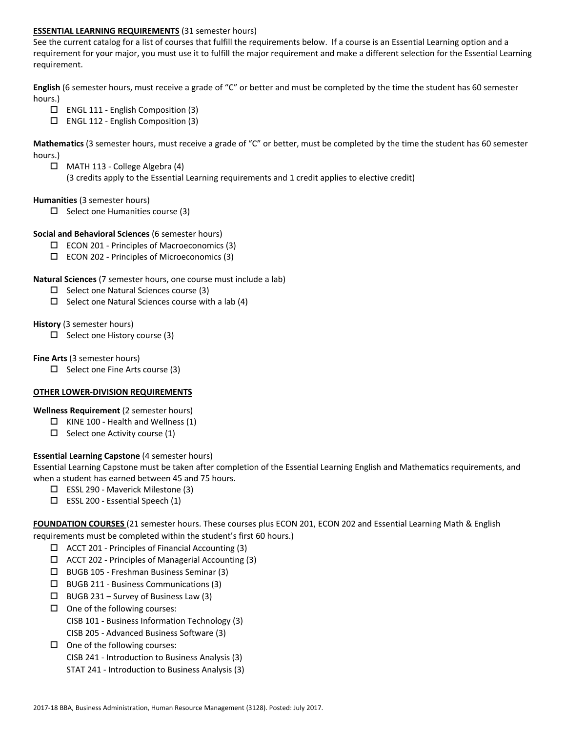# **ESSENTIAL LEARNING REQUIREMENTS** (31 semester hours)

See the current catalog for a list of courses that fulfill the requirements below. If a course is an Essential Learning option and a requirement for your major, you must use it to fulfill the major requirement and make a different selection for the Essential Learning requirement.

**English** (6 semester hours, must receive a grade of "C" or better and must be completed by the time the student has 60 semester hours.)

- $\Box$  ENGL 111 English Composition (3)
- $\square$  ENGL 112 English Composition (3)

**Mathematics** (3 semester hours, must receive a grade of "C" or better, must be completed by the time the student has 60 semester hours.)

MATH 113 - College Algebra (4)

(3 credits apply to the Essential Learning requirements and 1 credit applies to elective credit)

### **Humanities** (3 semester hours)

 $\Box$  Select one Humanities course (3)

### **Social and Behavioral Sciences** (6 semester hours)

- $\square$  ECON 201 Principles of Macroeconomics (3)
- $\square$  ECON 202 Principles of Microeconomics (3)

### **Natural Sciences** (7 semester hours, one course must include a lab)

- $\Box$  Select one Natural Sciences course (3)
- $\Box$  Select one Natural Sciences course with a lab (4)

#### **History** (3 semester hours)

 $\Box$  Select one History course (3)

### **Fine Arts** (3 semester hours)

 $\Box$  Select one Fine Arts course (3)

# **OTHER LOWER-DIVISION REQUIREMENTS**

# **Wellness Requirement** (2 semester hours)

- $\Box$  KINE 100 Health and Wellness (1)
- $\Box$  Select one Activity course (1)

# **Essential Learning Capstone** (4 semester hours)

Essential Learning Capstone must be taken after completion of the Essential Learning English and Mathematics requirements, and when a student has earned between 45 and 75 hours.

- $\Box$  ESSL 290 Maverick Milestone (3)
- $\square$  ESSL 200 Essential Speech (1)

**FOUNDATION COURSES** (21 semester hours. These courses plus ECON 201, ECON 202 and Essential Learning Math & English requirements must be completed within the student's first 60 hours.)

- $\Box$  ACCT 201 Principles of Financial Accounting (3)
- $\Box$  ACCT 202 Principles of Managerial Accounting (3)
- BUGB 105 Freshman Business Seminar (3)
- $\square$  BUGB 211 Business Communications (3)
- $\Box$  BUGB 231 Survey of Business Law (3)
- $\Box$  One of the following courses: CISB 101 - Business Information Technology (3) CISB 205 - Advanced Business Software (3)
- $\Box$  One of the following courses:
	- CISB 241 Introduction to Business Analysis (3)
	- STAT 241 Introduction to Business Analysis (3)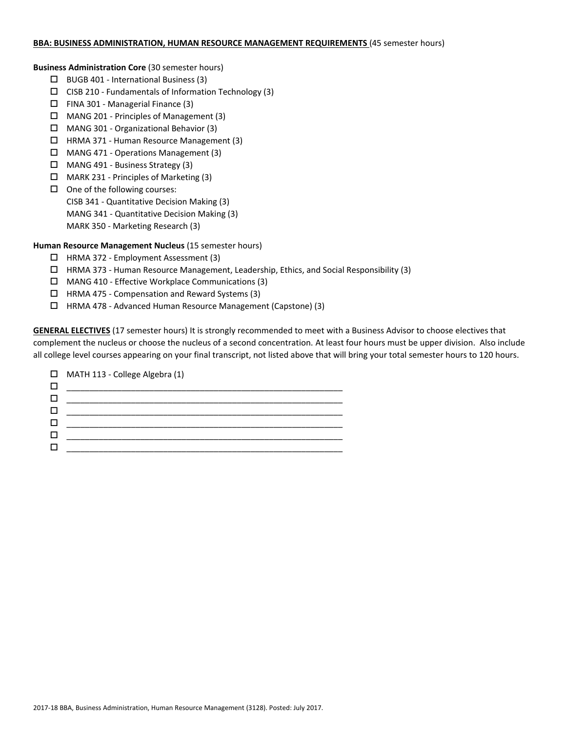#### **BBA: BUSINESS ADMINISTRATION, HUMAN RESOURCE MANAGEMENT REQUIREMENTS** (45 semester hours)

**Business Administration Core** (30 semester hours)

- $\Box$  BUGB 401 International Business (3)
- $\square$  CISB 210 Fundamentals of Information Technology (3)
- $\Box$  FINA 301 Managerial Finance (3)
- MANG 201 Principles of Management (3)
- MANG 301 Organizational Behavior (3)
- □ HRMA 371 Human Resource Management (3)
- MANG 471 Operations Management (3)
- MANG 491 Business Strategy (3)
- $\Box$  MARK 231 Principles of Marketing (3)
- $\Box$  One of the following courses: CISB 341 - Quantitative Decision Making (3)
	- MANG 341 Quantitative Decision Making (3)
	- MARK 350 Marketing Research (3)

# **Human Resource Management Nucleus** (15 semester hours)

- HRMA 372 Employment Assessment (3)
- $\Box$  HRMA 373 Human Resource Management, Leadership, Ethics, and Social Responsibility (3)
- $\Box$  MANG 410 Effective Workplace Communications (3)
- □ HRMA 475 Compensation and Reward Systems (3)
- HRMA 478 Advanced Human Resource Management (Capstone) (3)

**GENERAL ELECTIVES** (17 semester hours) It is strongly recommended to meet with a Business Advisor to choose electives that complement the nucleus or choose the nucleus of a second concentration. At least four hours must be upper division. Also include all college level courses appearing on your final transcript, not listed above that will bring your total semester hours to 120 hours.